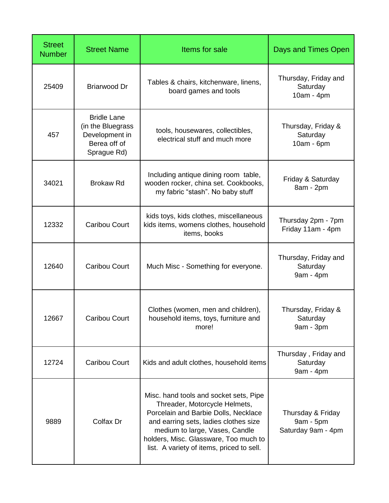| <b>Street</b><br><b>Number</b> | <b>Street Name</b>                                                                       | Items for sale                                                                                                                                                                                                                                                                   | <b>Days and Times Open</b>                           |
|--------------------------------|------------------------------------------------------------------------------------------|----------------------------------------------------------------------------------------------------------------------------------------------------------------------------------------------------------------------------------------------------------------------------------|------------------------------------------------------|
| 25409                          | <b>Briarwood Dr</b>                                                                      | Tables & chairs, kitchenware, linens,<br>board games and tools                                                                                                                                                                                                                   | Thursday, Friday and<br>Saturday<br>10am - 4pm       |
| 457                            | <b>Bridle Lane</b><br>(in the Bluegrass<br>Development in<br>Berea off of<br>Sprague Rd) | tools, housewares, collectibles,<br>electrical stuff and much more                                                                                                                                                                                                               | Thursday, Friday &<br>Saturday<br>10am - 6pm         |
| 34021                          | <b>Brokaw Rd</b>                                                                         | Including antique dining room table,<br>wooden rocker, china set. Cookbooks,<br>my fabric "stash". No baby stuff                                                                                                                                                                 | Friday & Saturday<br>8am - 2pm                       |
| 12332                          | Caribou Court                                                                            | kids toys, kids clothes, miscellaneous<br>kids items, womens clothes, household<br>items, books                                                                                                                                                                                  | Thursday 2pm - 7pm<br>Friday 11am - 4pm              |
| 12640                          | Caribou Court                                                                            | Much Misc - Something for everyone.                                                                                                                                                                                                                                              | Thursday, Friday and<br>Saturday<br>9am - 4pm        |
| 12667                          | Caribou Court                                                                            | Clothes (women, men and children),<br>household items, toys, furniture and<br>more!                                                                                                                                                                                              | Thursday, Friday &<br>Saturday<br>9am - 3pm          |
| 12724                          | <b>Caribou Court</b>                                                                     | Kids and adult clothes, household items                                                                                                                                                                                                                                          | Thursday, Friday and<br>Saturday<br>9am - 4pm        |
| 9889                           | Colfax Dr                                                                                | Misc. hand tools and socket sets, Pipe<br>Threader, Motorcycle Helmets,<br>Porcelain and Barbie Dolls, Necklace<br>and earring sets, ladies clothes size<br>medium to large, Vases, Candle<br>holders, Misc. Glassware, Too much to<br>list. A variety of items, priced to sell. | Thursday & Friday<br>9am - 5pm<br>Saturday 9am - 4pm |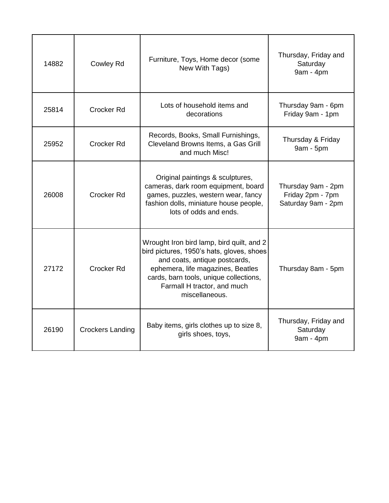| 14882 | Cowley Rd               | Furniture, Toys, Home decor (some<br>New With Tags)                                                                                                                                                                                                     | Thursday, Friday and<br>Saturday<br>9am - 4pm                |
|-------|-------------------------|---------------------------------------------------------------------------------------------------------------------------------------------------------------------------------------------------------------------------------------------------------|--------------------------------------------------------------|
| 25814 | Crocker Rd              | Lots of household items and<br>decorations                                                                                                                                                                                                              | Thursday 9am - 6pm<br>Friday 9am - 1pm                       |
| 25952 | Crocker Rd              | Records, Books, Small Furnishings,<br>Cleveland Browns Items, a Gas Grill<br>and much Misc!                                                                                                                                                             | Thursday & Friday<br>9am - 5pm                               |
| 26008 | Crocker Rd              | Original paintings & sculptures,<br>cameras, dark room equipment, board<br>games, puzzles, western wear, fancy<br>fashion dolls, miniature house people,<br>lots of odds and ends.                                                                      | Thursday 9am - 2pm<br>Friday 2pm - 7pm<br>Saturday 9am - 2pm |
| 27172 | Crocker Rd              | Wrought Iron bird lamp, bird quilt, and 2<br>bird pictures, 1950's hats, gloves, shoes<br>and coats, antique postcards,<br>ephemera, life magazines, Beatles<br>cards, barn tools, unique collections,<br>Farmall H tractor, and much<br>miscellaneous. | Thursday 8am - 5pm                                           |
| 26190 | <b>Crockers Landing</b> | Baby items, girls clothes up to size 8,<br>girls shoes, toys,                                                                                                                                                                                           | Thursday, Friday and<br>Saturday<br>9am - 4pm                |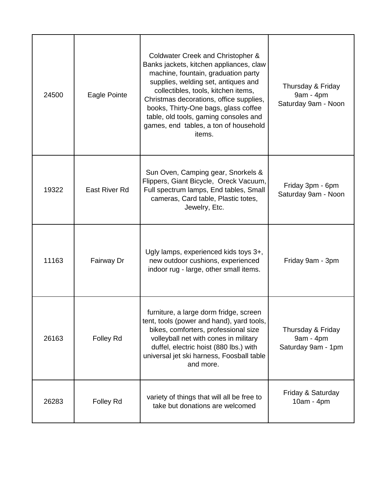| 24500 | Eagle Pointe  | Coldwater Creek and Christopher &<br>Banks jackets, kitchen appliances, claw<br>machine, fountain, graduation party<br>supplies, welding set, antiques and<br>collectibles, tools, kitchen items,<br>Christmas decorations, office supplies,<br>books, Thirty-One bags, glass coffee<br>table, old tools, gaming consoles and<br>games, end tables, a ton of household<br>items. | Thursday & Friday<br>9am - 4pm<br>Saturday 9am - Noon |
|-------|---------------|----------------------------------------------------------------------------------------------------------------------------------------------------------------------------------------------------------------------------------------------------------------------------------------------------------------------------------------------------------------------------------|-------------------------------------------------------|
| 19322 | East River Rd | Sun Oven, Camping gear, Snorkels &<br>Flippers, Giant Bicycle, Oreck Vacuum,<br>Full spectrum lamps, End tables, Small<br>cameras, Card table, Plastic totes,<br>Jewelry, Etc.                                                                                                                                                                                                   | Friday 3pm - 6pm<br>Saturday 9am - Noon               |
| 11163 | Fairway Dr    | Ugly lamps, experienced kids toys 3+,<br>new outdoor cushions, experienced<br>indoor rug - large, other small items.                                                                                                                                                                                                                                                             | Friday 9am - 3pm                                      |
| 26163 | Folley Rd     | furniture, a large dorm fridge, screen<br>tent, tools (power and hand), yard tools,<br>bikes, comforters, professional size<br>volleyball net with cones in military<br>duffel, electric hoist (880 lbs.) with<br>universal jet ski harness, Foosball table<br>and more.                                                                                                         | Thursday & Friday<br>9am - 4pm<br>Saturday 9am - 1pm  |
| 26283 | Folley Rd     | variety of things that will all be free to<br>take but donations are welcomed                                                                                                                                                                                                                                                                                                    | Friday & Saturday<br>10am - 4pm                       |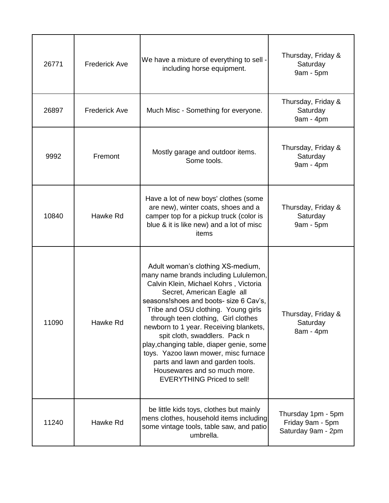| 26771 | <b>Frederick Ave</b> | We have a mixture of everything to sell -<br>including horse equipment.                                                                                                                                                                                                                                                                                                                                                                                                                                                                            | Thursday, Friday &<br>Saturday<br>9am - 5pm                  |
|-------|----------------------|----------------------------------------------------------------------------------------------------------------------------------------------------------------------------------------------------------------------------------------------------------------------------------------------------------------------------------------------------------------------------------------------------------------------------------------------------------------------------------------------------------------------------------------------------|--------------------------------------------------------------|
| 26897 | <b>Frederick Ave</b> | Much Misc - Something for everyone.                                                                                                                                                                                                                                                                                                                                                                                                                                                                                                                | Thursday, Friday &<br>Saturday<br>9am - 4pm                  |
| 9992  | Fremont              | Mostly garage and outdoor items.<br>Some tools.                                                                                                                                                                                                                                                                                                                                                                                                                                                                                                    | Thursday, Friday &<br>Saturday<br>9am - 4pm                  |
| 10840 | Hawke Rd             | Have a lot of new boys' clothes (some<br>are new), winter coats, shoes and a<br>camper top for a pickup truck (color is<br>blue & it is like new) and a lot of misc<br>items                                                                                                                                                                                                                                                                                                                                                                       | Thursday, Friday &<br>Saturday<br>9am - 5pm                  |
| 11090 | Hawke Rd             | Adult woman's clothing XS-medium,<br>many name brands including Lululemon,<br>Calvin Klein, Michael Kohrs, Victoria<br>Secret, American Eagle all<br>seasons! shoes and boots- size 6 Cav's,<br>Tribe and OSU clothing. Young girls<br>through teen clothing, Girl clothes<br>newborn to 1 year. Receiving blankets,<br>spit cloth, swaddlers. Pack n<br>play, changing table, diaper genie, some<br>toys. Yazoo lawn mower, misc furnace<br>parts and lawn and garden tools.<br>Housewares and so much more.<br><b>EVERYTHING Priced to sell!</b> | Thursday, Friday &<br>Saturday<br>8am - 4pm                  |
| 11240 | Hawke Rd             | be little kids toys, clothes but mainly<br>mens clothes, household items including<br>some vintage tools, table saw, and patio<br>umbrella.                                                                                                                                                                                                                                                                                                                                                                                                        | Thursday 1pm - 5pm<br>Friday 9am - 5pm<br>Saturday 9am - 2pm |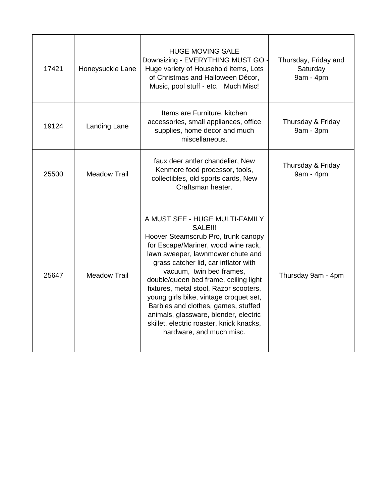| 17421 | Honeysuckle Lane    | <b>HUGE MOVING SALE</b><br>Downsizing - EVERYTHING MUST GO<br>Huge variety of Household items, Lots<br>of Christmas and Halloween Décor,<br>Music, pool stuff - etc. Much Misc!                                                                                                                                                                                                                                                                                                                                              | Thursday, Friday and<br>Saturday<br>9am - 4pm |
|-------|---------------------|------------------------------------------------------------------------------------------------------------------------------------------------------------------------------------------------------------------------------------------------------------------------------------------------------------------------------------------------------------------------------------------------------------------------------------------------------------------------------------------------------------------------------|-----------------------------------------------|
| 19124 | Landing Lane        | Items are Furniture, kitchen<br>accessories, small appliances, office<br>supplies, home decor and much<br>miscellaneous.                                                                                                                                                                                                                                                                                                                                                                                                     | Thursday & Friday<br>9am - 3pm                |
| 25500 | <b>Meadow Trail</b> | faux deer antler chandelier, New<br>Kenmore food processor, tools,<br>collectibles, old sports cards, New<br>Craftsman heater.                                                                                                                                                                                                                                                                                                                                                                                               | Thursday & Friday<br>9am - 4pm                |
| 25647 | <b>Meadow Trail</b> | A MUST SEE - HUGE MULTI-FAMILY<br><b>SALE!!!</b><br>Hoover Steamscrub Pro, trunk canopy<br>for Escape/Mariner, wood wine rack,<br>lawn sweeper, lawnmower chute and<br>grass catcher lid, car inflator with<br>vacuum, twin bed frames,<br>double/queen bed frame, ceiling light<br>fixtures, metal stool, Razor scooters,<br>young girls bike, vintage croquet set,<br>Barbies and clothes, games, stuffed<br>animals, glassware, blender, electric<br>skillet, electric roaster, knick knacks,<br>hardware, and much misc. | Thursday 9am - 4pm                            |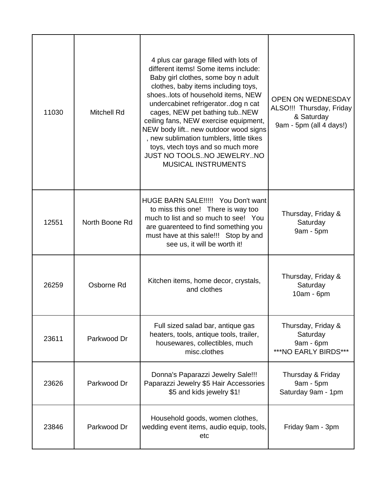| 11030 | <b>Mitchell Rd</b> | 4 plus car garage filled with lots of<br>different items! Some items include:<br>Baby girl clothes, some boy n adult<br>clothes, baby items including toys,<br>shoeslots of household items, NEW<br>undercabinet refrigeratordog n cat<br>cages, NEW pet bathing tubNEW<br>ceiling fans, NEW exercise equipment,<br>NEW body lift new outdoor wood signs<br>, new sublimation tumblers, little tikes<br>toys, vtech toys and so much more<br>JUST NO TOOLSNO JEWELRYNO<br>MUSICAL INSTRUMENTS | <b>OPEN ON WEDNESDAY</b><br>ALSO !!! Thursday, Friday<br>& Saturday<br>9am - 5pm (all 4 days!) |
|-------|--------------------|-----------------------------------------------------------------------------------------------------------------------------------------------------------------------------------------------------------------------------------------------------------------------------------------------------------------------------------------------------------------------------------------------------------------------------------------------------------------------------------------------|------------------------------------------------------------------------------------------------|
| 12551 | North Boone Rd     | HUGE BARN SALE!!!!! You Don't want<br>to miss this one! There is way too<br>much to list and so much to see! You<br>are guarenteed to find something you<br>must have at this sale!!! Stop by and<br>see us, it will be worth it!                                                                                                                                                                                                                                                             | Thursday, Friday &<br>Saturday<br>9am - 5pm                                                    |
| 26259 | Osborne Rd         | Kitchen items, home decor, crystals,<br>and clothes                                                                                                                                                                                                                                                                                                                                                                                                                                           | Thursday, Friday &<br>Saturday<br>$10am - 6pm$                                                 |
| 23611 | Parkwood Dr        | Full sized salad bar, antique gas<br>heaters, tools, antique tools, trailer,<br>housewares, collectibles, much<br>misc.clothes                                                                                                                                                                                                                                                                                                                                                                | Thursday, Friday &<br>Saturday<br>9am - 6pm<br>***NO EARLY BIRDS***                            |
| 23626 | Parkwood Dr        | Donna's Paparazzi Jewelry Sale!!!<br>Paparazzi Jewelry \$5 Hair Accessories<br>\$5 and kids jewelry \$1!                                                                                                                                                                                                                                                                                                                                                                                      | Thursday & Friday<br>9am - 5pm<br>Saturday 9am - 1pm                                           |
| 23846 | Parkwood Dr        | Household goods, women clothes,<br>wedding event items, audio equip, tools,<br>etc                                                                                                                                                                                                                                                                                                                                                                                                            | Friday 9am - 3pm                                                                               |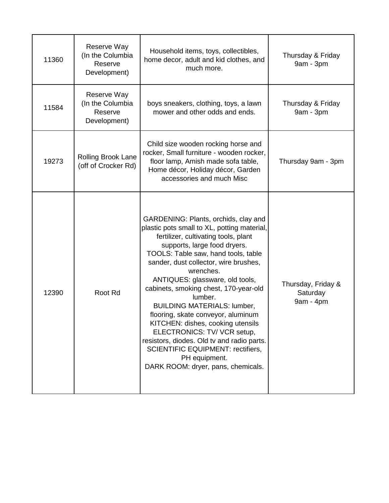| 11360 | Reserve Way<br>(In the Columbia<br>Reserve<br>Development) | Household items, toys, collectibles,<br>home decor, adult and kid clothes, and<br>much more.                                                                                                                                                                                                                                                                                                                                                                                                                                                                                                                                                     | Thursday & Friday<br>9am - 3pm              |
|-------|------------------------------------------------------------|--------------------------------------------------------------------------------------------------------------------------------------------------------------------------------------------------------------------------------------------------------------------------------------------------------------------------------------------------------------------------------------------------------------------------------------------------------------------------------------------------------------------------------------------------------------------------------------------------------------------------------------------------|---------------------------------------------|
| 11584 | Reserve Way<br>(In the Columbia<br>Reserve<br>Development) | boys sneakers, clothing, toys, a lawn<br>mower and other odds and ends.                                                                                                                                                                                                                                                                                                                                                                                                                                                                                                                                                                          | Thursday & Friday<br>9am - 3pm              |
| 19273 | Rolling Brook Lane<br>(off of Crocker Rd)                  | Child size wooden rocking horse and<br>rocker, Small furniture - wooden rocker,<br>floor lamp, Amish made sofa table,<br>Home décor, Holiday décor, Garden<br>accessories and much Misc                                                                                                                                                                                                                                                                                                                                                                                                                                                          | Thursday 9am - 3pm                          |
| 12390 | Root Rd                                                    | GARDENING: Plants, orchids, clay and<br>plastic pots small to XL, potting material,<br>fertilizer, cultivating tools, plant<br>supports, large food dryers.<br>TOOLS: Table saw, hand tools, table<br>sander, dust collector, wire brushes,<br>wrenches.<br>ANTIQUES: glassware, old tools,<br>cabinets, smoking chest, 170-year-old<br>lumber.<br><b>BUILDING MATERIALS: lumber,</b><br>flooring, skate conveyor, aluminum<br>KITCHEN: dishes, cooking utensils<br>ELECTRONICS: TV/ VCR setup,<br>resistors, diodes. Old tv and radio parts.<br><b>SCIENTIFIC EQUIPMENT: rectifiers,</b><br>PH equipment.<br>DARK ROOM: dryer, pans, chemicals. | Thursday, Friday &<br>Saturday<br>9am - 4pm |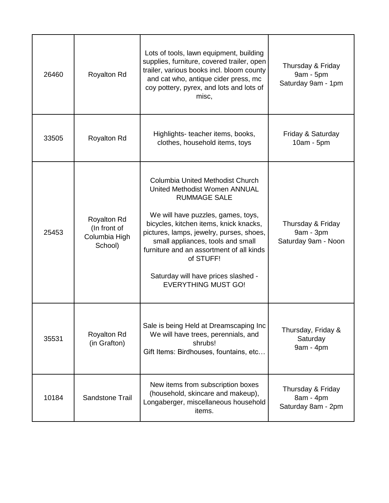| 26460 | <b>Royalton Rd</b>                                             | Lots of tools, lawn equipment, building<br>supplies, furniture, covered trailer, open<br>trailer, various books incl. bloom county<br>and cat who, antique cider press, mc<br>coy pottery, pyrex, and lots and lots of<br>misc,                                                                                                                                                                | Thursday & Friday<br>9am - 5pm<br>Saturday 9am - 1pm  |
|-------|----------------------------------------------------------------|------------------------------------------------------------------------------------------------------------------------------------------------------------------------------------------------------------------------------------------------------------------------------------------------------------------------------------------------------------------------------------------------|-------------------------------------------------------|
| 33505 | <b>Royalton Rd</b>                                             | Highlights- teacher items, books,<br>clothes, household items, toys                                                                                                                                                                                                                                                                                                                            | Friday & Saturday<br>10am - 5pm                       |
| 25453 | <b>Royalton Rd</b><br>(In front of<br>Columbia High<br>School) | <b>Columbia United Methodist Church</b><br>United Methodist Women ANNUAL<br><b>RUMMAGE SALE</b><br>We will have puzzles, games, toys,<br>bicycles, kitchen items, knick knacks,<br>pictures, lamps, jewelry, purses, shoes,<br>small appliances, tools and small<br>furniture and an assortment of all kinds<br>of STUFF!<br>Saturday will have prices slashed -<br><b>EVERYTHING MUST GO!</b> | Thursday & Friday<br>9am - 3pm<br>Saturday 9am - Noon |
| 35531 | <b>Royalton Rd</b><br>(in Grafton)                             | Sale is being Held at Dreamscaping Inc<br>We will have trees, perennials, and<br>shrubs!<br>Gift Items: Birdhouses, fountains, etc                                                                                                                                                                                                                                                             | Thursday, Friday &<br>Saturday<br>9am - 4pm           |
| 10184 | <b>Sandstone Trail</b>                                         | New items from subscription boxes<br>(household, skincare and makeup),<br>Longaberger, miscellaneous household<br>items.                                                                                                                                                                                                                                                                       | Thursday & Friday<br>8am - 4pm<br>Saturday 8am - 2pm  |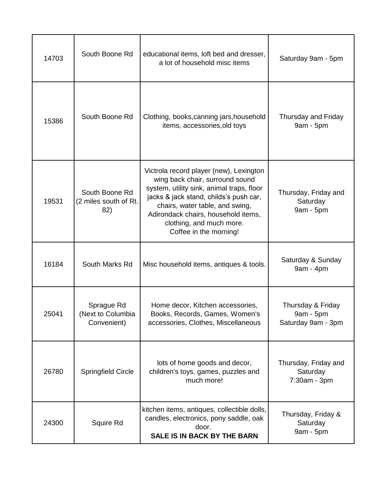| 14703 | South Boone Rd                                 | educational items, loft bed and dresser,<br>a lot of household misc items                                                                                                                                                                                                                         | Saturday 9am - 5pm                                     |
|-------|------------------------------------------------|---------------------------------------------------------------------------------------------------------------------------------------------------------------------------------------------------------------------------------------------------------------------------------------------------|--------------------------------------------------------|
| 15386 | South Boone Rd                                 | Clothing, books, canning jars, household<br>items, accessories, old toys                                                                                                                                                                                                                          | Thursday and Friday<br>9am - 5pm                       |
| 19531 | South Boone Rd<br>(2 miles south of Rt.<br>82) | Victrola record player (new), Lexington<br>wing back chair, surround sound<br>system, utility sink, animal traps, floor<br>jacks & jack stand, childs's push car,<br>chairs, water table, and swing,<br>Adirondack chairs, household items,<br>clothing, and much more.<br>Coffee in the morning! | Thursday, Friday and<br>Saturday<br>9am - 5pm          |
| 16184 | South Marks Rd                                 | Misc household items, antiques & tools.                                                                                                                                                                                                                                                           | Saturday & Sunday<br>$9am - 4pm$                       |
| 25041 | Sprague Rd<br>(Next to Columbia<br>Convenient) | Home decor, Kitchen accessories,<br>Books, Records, Games, Women's<br>accessories, Clothes, Miscellaneous                                                                                                                                                                                         | Thursday & Friday<br>$9am - 5pm$<br>Saturday 9am - 3pm |
| 26780 | <b>Springfield Circle</b>                      | lots of home goods and decor,<br>children's toys, games, puzzles and<br>much more!                                                                                                                                                                                                                | Thursday, Friday and<br>Saturday<br>7:30am - 3pm       |
| 24300 | Squire Rd                                      | kitchen items, antiques, collectible dolls,<br>candles, electronics, pony saddle, oak<br>door.<br>SALE IS IN BACK BY THE BARN                                                                                                                                                                     | Thursday, Friday &<br>Saturday<br>9am - 5pm            |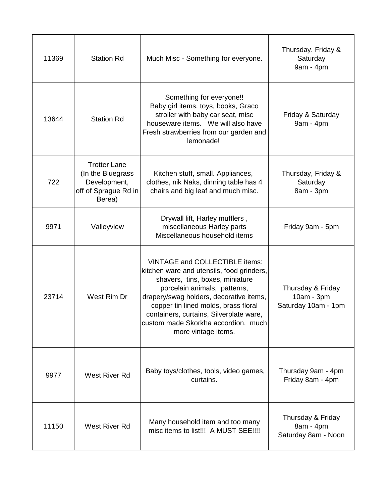| 11369 | <b>Station Rd</b>                                                                          | Much Misc - Something for everyone.                                                                                                                                                                                                                                                                                                               | Thursday. Friday &<br>Saturday<br>9am - 4pm            |
|-------|--------------------------------------------------------------------------------------------|---------------------------------------------------------------------------------------------------------------------------------------------------------------------------------------------------------------------------------------------------------------------------------------------------------------------------------------------------|--------------------------------------------------------|
| 13644 | <b>Station Rd</b>                                                                          | Something for everyone!!<br>Baby girl items, toys, books, Graco<br>stroller with baby car seat, misc<br>houseware items. We will also have<br>Fresh strawberries from our garden and<br>lemonade!                                                                                                                                                 | Friday & Saturday<br>9am - 4pm                         |
| 722   | <b>Trotter Lane</b><br>(In the Bluegrass<br>Development,<br>off of Sprague Rd in<br>Berea) | Kitchen stuff, small. Appliances,<br>clothes, nik Naks, dinning table has 4<br>chairs and big leaf and much misc.                                                                                                                                                                                                                                 | Thursday, Friday &<br>Saturday<br>8am - 3pm            |
| 9971  | Valleyview                                                                                 | Drywall lift, Harley mufflers,<br>miscellaneous Harley parts<br>Miscellaneous household items                                                                                                                                                                                                                                                     | Friday 9am - 5pm                                       |
| 23714 | West Rim Dr                                                                                | <b>VINTAGE and COLLECTIBLE items:</b><br>kitchen ware and utensils, food grinders,<br>shavers, tins, boxes, miniature<br>porcelain animals, patterns,<br>drapery/swag holders, decorative items,<br>copper tin lined molds, brass floral<br>containers, curtains, Silverplate ware,<br>custom made Skorkha accordion, much<br>more vintage items. | Thursday & Friday<br>10am - 3pm<br>Saturday 10am - 1pm |
| 9977  | West River Rd                                                                              | Baby toys/clothes, tools, video games,<br>curtains.                                                                                                                                                                                                                                                                                               | Thursday 9am - 4pm<br>Friday 8am - 4pm                 |
| 11150 | West River Rd                                                                              | Many household item and too many<br>misc items to list!!! A MUST SEE!!!!                                                                                                                                                                                                                                                                          | Thursday & Friday<br>8am - 4pm<br>Saturday 8am - Noon  |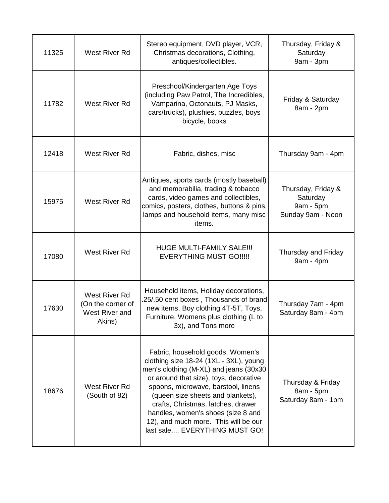| 11325 | West River Rd                                                  | Stereo equipment, DVD player, VCR,<br>Christmas decorations, Clothing,<br>antiques/collectibles.                                                                                                                                                                                                                                                                                                | Thursday, Friday &<br>Saturday<br>9am - 3pm                      |
|-------|----------------------------------------------------------------|-------------------------------------------------------------------------------------------------------------------------------------------------------------------------------------------------------------------------------------------------------------------------------------------------------------------------------------------------------------------------------------------------|------------------------------------------------------------------|
| 11782 | West River Rd                                                  | Preschool/Kindergarten Age Toys<br>(including Paw Patrol, The Incredibles,<br>Vamparina, Octonauts, PJ Masks,<br>cars/trucks), plushies, puzzles, boys<br>bicycle, books                                                                                                                                                                                                                        | Friday & Saturday<br>8am - 2pm                                   |
| 12418 | <b>West River Rd</b>                                           | Fabric, dishes, misc                                                                                                                                                                                                                                                                                                                                                                            | Thursday 9am - 4pm                                               |
| 15975 | West River Rd                                                  | Antiques, sports cards (mostly baseball)<br>and memorabilia, trading & tobacco<br>cards, video games and collectibles,<br>comics, posters, clothes, buttons & pins,<br>lamps and household items, many misc<br>items.                                                                                                                                                                           | Thursday, Friday &<br>Saturday<br>9am - 5pm<br>Sunday 9am - Noon |
| 17080 | West River Rd                                                  | <b>HUGE MULTI-FAMILY SALE!!!</b><br><b>EVERYTHING MUST GO!!!!!</b>                                                                                                                                                                                                                                                                                                                              | Thursday and Friday<br>9am - 4pm                                 |
| 17630 | West River Rd<br>(On the corner of<br>West River and<br>Akins) | Household items, Holiday decorations,<br>25/.50 cent boxes, Thousands of brand<br>new items, Boy clothing 4T-5T, Toys,<br>Furniture, Womens plus clothing (L to<br>3x), and Tons more                                                                                                                                                                                                           | Thursday 7am - 4pm<br>Saturday 8am - 4pm                         |
| 18676 | West River Rd<br>(South of 82)                                 | Fabric, household goods, Women's<br>clothing size 18-24 (1XL - 3XL), young<br>men's clothing (M-XL) and jeans (30x30<br>or around that size), toys, decorative<br>spoons, microwave, barstool, linens<br>(queen size sheets and blankets),<br>crafts, Christmas, latches, drawer<br>handles, women's shoes (size 8 and<br>12), and much more. This will be our<br>last sale EVERYTHING MUST GO! | Thursday & Friday<br>8am - 5pm<br>Saturday 8am - 1pm             |